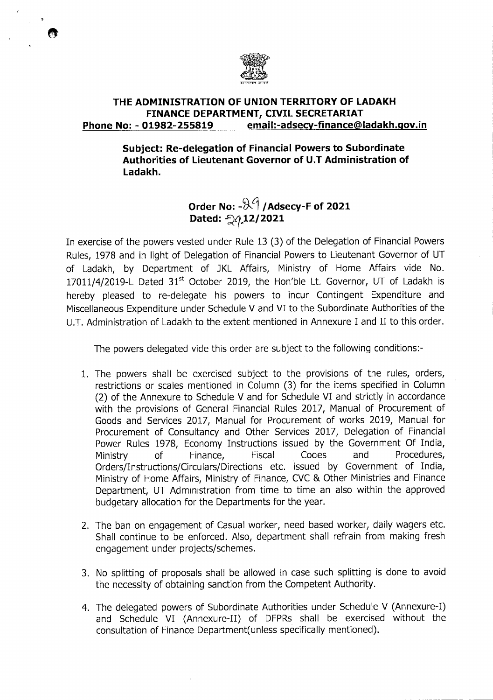

### **THE ADMINISTRATION OF UNION TERRITORY OF LADAKH FINANCE DEPARTMENT, CIVIL SECRETARIAT**  Phone No: - 01982-255819 **email:-adsecy-finance@ladakh.gov.in**

**Subject: Re-delegation of Financial Powers to Subordinate Authorities of Lieutenant Governor of U.T Administration of**  Ladakh.

# **Order No: -** $\frac{1}{2}$  **/Adsecy-F of 2021 Dated: 24,12/2021**

In exercise of the powers vested under Rule 13 (3) of the Delegation of Financial Powers Rules, 1978 and in light of Delegation of Financial Powers to Lieutenant Governor of UT of Ladakh, by Department of JKL Affairs, Ministry of Home Affairs vide No. 17011/4/2019-L Dated  $31<sup>st</sup>$  October 2019, the Hon'ble Lt. Governor, UT of Ladakh is hereby pleased to re-delegate his powers to incur Contingent Expenditure and Miscellaneous Expenditure under Schedule V and VI to the Subordinate Authorities of the U.T. Administration of Ladakh to the extent mentioned in Annexure I and II to this order.

The powers delegated vide this order are subject to the following conditions:-

- 1. The powers shall be exercised subject to the provisions of the rules, orders, restrictions or scales mentioned in Column (3) for the items specified in Column (2) of the Annexure to Schedule V and for Schedule VI and strictly in accordance with the provisions of General Financial Rules 2017, Manual of Procurement of Goods and Services 2017, Manual for Procurement of works 2019, Manual for Procurement of Consultancy and Other Services 2017, Delegation of Financial Power Rules 1978, Economy Instructions issued by the Government Of India, Ministry of Finance, Fiscal Codes and Procedures, Orders/Instructions/Circulars/Directions etc. issued by Government of India, Ministry of Home Affairs, Ministry of Finance, CVC & Other Ministries and Finance Department, UT Administration from time to time an also within the approved budgetary allocation for the Departments for the year.
- 2. The ban on engagement of Casual worker, need based worker, daily wagers etc. Shall continue to be enforced. Also, department shall refrain from making fresh engagement under projects/schemes.
- 3. No splitting of proposals shall be allowed in case such splitting is done to avoid the necessity of obtaining sanction from the Competent Authority.
- 4. The delegated powers of Subordinate Authorities under Schedule V (Annexure-I) and Schedule VI (Annexure-Il) of DFPRs shall be exercised without the consultation of Finance Department(unless specifically mentioned).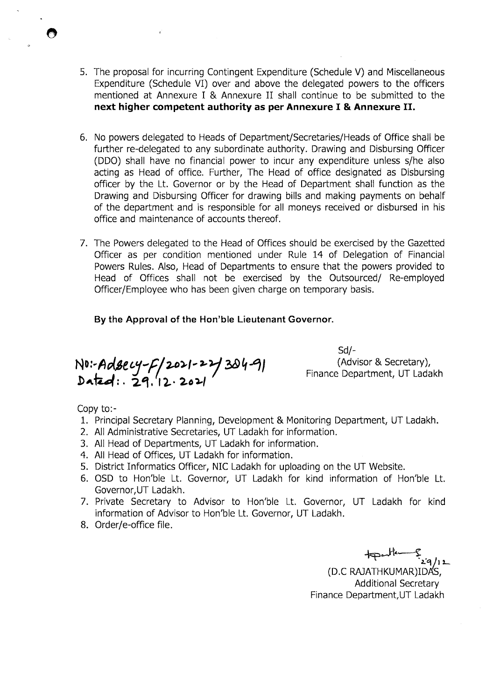- 5. The proposal for incurring Contingent Expenditure (Schedule V) and Miscellaneous Expenditure (Schedule VI) over and above the delegated powers to the officers mentioned at Annexure I & Annexure II shall continue to be submitted to the **next higher competent authority as per Annexure I** & **Annexure** II.
- 6. No powers delegated to Heads of Department/Secretaries/Heads of Office shall be further re-delegated to any subordinate authority. Drawing and Disbursing Officer (DDO) shall have no financial power to incur any expenditure unless s/he also acting as Head of office. Further, The Head of office designated as Disbursing officer by the Lt. Governor or by the Head of Department shall function as the Drawing and Disbursing Officer for drawing bills and making payments on behalf of the department and is responsible for all moneys received or disbursed in his office and maintenance of accounts thereof.
- 7. The Powers delegated to the Head of Offices should be exercised by the Gazetted Officer as per condition mentioned under Rule 14 of Delegation of Financial Powers Rules. Also, Head of Departments to ensure that the powers provided to Head of Offices shall not be exercised by the Outsourced/ Re-employed Officer/Employee who has been given charge on temporary basis.

**By the Approval of the Hon'ble Lieutenant Governor.** 

NO:-Adsecy-F/2021-22/304-91 pr. *Findecy-Pl 2021* 

Sd/- (Advisor & Secretary), Finance Department, UT Ladakh

Copy to:-

- 1. Principal Secretary Planning, Development & Monitoring Department, UT Ladakh.
- 2. All Administrative Secretaries, UT Ladakh for information.
- 3. All Head of Departments, UT Ladakh for information.
- 4. All Head of Offices, UT Ladakh for information.
- 5. District Informatics Officer, NIC Ladakh for uploading on the UT Website.
- 6. OSD to Hon'ble Lt. Governor, UT Ladakh for kind information of Hon'ble Lt. Governor,UT Ladakh.
- 7. Private Secretary to Advisor to Hon'ble Lt. Governor, UT Ladakh for kind information of Advisor to Hon'ble Lt. Governor, UT Ladakh.
- 8. Order/e-office file.

لا<br>- ۱۱<u>۱۶</u>ء

(D.0 RAJATHKUMAR)IDAS, Additional Secretary Finance Department,UT Ladakh

O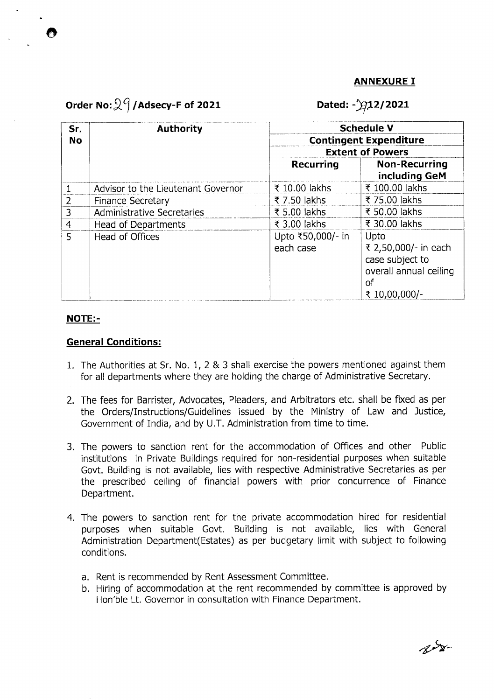#### **ANNEXURE I**

## **Order No:**  $\mathbb{Q}^G$  /Adsecy-F of 2021 **Dated: -** $\mathbb{Z}$  Dated: - $\mathbb{Z}$  12/2021

| Sr.            | <b>Authority</b>                   | <b>Schedule V</b><br><b>Contingent Expenditure</b><br><b>Extent of Powers</b> |                        |
|----------------|------------------------------------|-------------------------------------------------------------------------------|------------------------|
| <b>No</b>      |                                    |                                                                               |                        |
|                |                                    |                                                                               |                        |
|                |                                    | <b>Recurring</b>                                                              | <b>Non-Recurring</b>   |
|                |                                    |                                                                               | including GeM          |
|                | Advisor to the Lieutenant Governor | ₹ 10.00 lakhs                                                                 | ₹ 100.00 lakhs         |
|                | <b>Finance Secretary</b>           | ₹ 7.50 lakhs                                                                  | ₹ 75.00 lakhs          |
| 3              | Administrative Secretaries         | ₹ 5.00 lakhs                                                                  | ₹ 50,00 lakhs          |
| $\overline{4}$ | Head of Departments                | ₹ 3.00 lakhs                                                                  | ₹ 30.00 lakhs          |
| 5              | <b>Head of Offices</b>             | Upto ₹50,000/- in                                                             | Upto                   |
|                |                                    | each case                                                                     | ₹ 2,50,000/- in each   |
|                |                                    |                                                                               | case subject to        |
|                |                                    |                                                                               | overall annual ceiling |
|                |                                    |                                                                               | οf                     |
|                |                                    |                                                                               | ₹ 10,00,000/-          |

#### **NOTE:**-

#### **General Conditions:**

- 1. The Authorities at Sr. No. 1, 2 & 3 shall exercise the powers mentioned against them for all departments where they are holding the charge of Administrative Secretary.
- 2. The fees for Barrister, Advocates, Pleaders, and Arbitrators etc. shall be fixed as per the Orders/Instructions/Guidelines issued by the Ministry of Law and Justice, Government of India, and by U.T. Administration from time to time.
- 3. The powers to sanction rent for the accommodation of Offices and other Public institutions in Private Buildings required for non-residential purposes when suitable Govt. Building is not available, lies with respective Administrative Secretaries as per the prescribed ceiling of financial powers with prior concurrence of Finance Department.
- 4. The powers to sanction rent for the private accommodation hired for residential purposes when suitable Govt. Building is not available, lies with General Administration Department(Estates) as per budgetary limit with subject to following conditions.
	- a. Rent is recommended by Rent Assessment Committee.
	- b. Hiring of accommodation at the rent recommended by committee is approved by Hon'ble Lt. Governor in consultation with Finance Department.

 $\chi$   $\chi$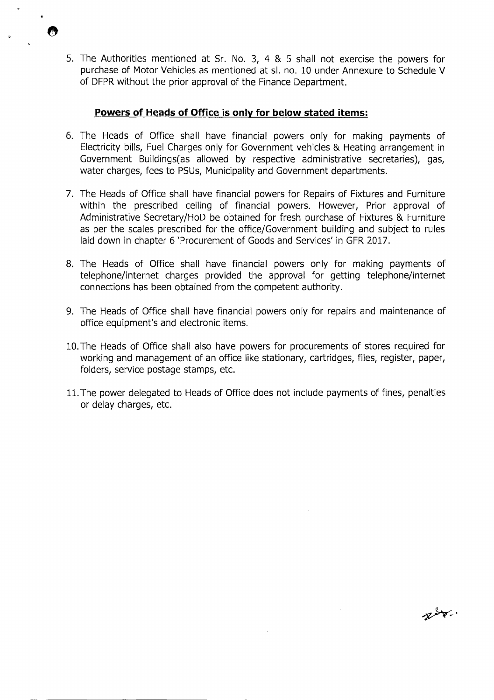5. The Authorities mentioned at Sr. No. 3, 4 & 5 shall not exercise the powers for purchase of Motor Vehicles as mentioned at sl. no. 10 under Annexure to Schedule V of DFPR without the prior approval of the Finance Department.

#### **Powers of Heads of Office is only for below stated items:**

- 6. The Heads of Office shall have financial powers only for making payments of Electricity bills, Fuel Charges only for Government vehicles & Heating arrangement in Government Buildings(as allowed by respective administrative secretaries), gas, water charges, fees to PSUs, Municipality and Government departments.
- 7. The Heads of Office shall have financial powers for Repairs of Fixtures and Furniture within the prescribed ceiling of financial powers. However, Prior approval of Administrative Secretary/HoD be obtained for fresh purchase of Fixtures & Furniture as per the scales prescribed for the office/Government building and subject to rules laid down in chapter 6 'Procurement of Goods and Services' in GFR 2017.
- 8. The Heads of Office shall have financial powers only for making payments of telephone/internet charges provided the approval for getting telephone/internet connections has been obtained from the competent authority.
- 9. The Heads of Office shall have financial powers only for repairs and maintenance of office equipment's and electronic items.
- 10.The Heads of Office shall also have powers for procurements of stores required for working and management of an office like stationary, cartridges, files, register, paper, folders, service postage stamps, etc.
- 11.The power delegated to Heads of Office does not include payments of fines, penalties or delay charges, etc.

 $x^2$